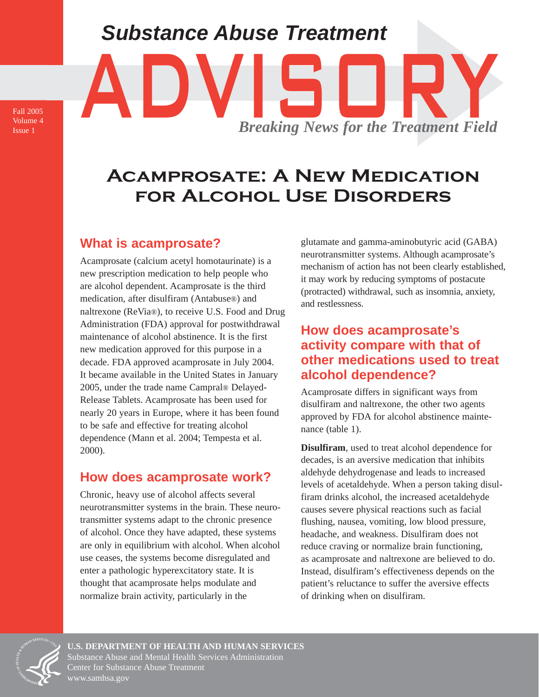# *Substance Abuse Treatment* Substance Abuse Treatment<br>
ADVIS Breaking News for the Treatment Field *Breaking News for the Treatment Field*

Fall 2005 Volume 4 Issue 1

## **Acamprosate: A New Medication for Alcohol Use Disorders**

## **What is acamprosate?**

Acamprosate (calcium acetyl homotaurinate) is a new prescription medication to help people who are alcohol dependent. Acamprosate is the third medication, after disulfiram (Antabuse®) and naltrexone (ReVia®), to receive U.S. Food and Drug Administration (FDA) approval for postwithdrawal maintenance of alcohol abstinence. It is the first new medication approved for this purpose in a decade. FDA approved acamprosate in July 2004. It became available in the United States in January 2005, under the trade name Campral® Delayed-Release Tablets. Acamprosate has been used for nearly 20 years in Europe, where it has been found to be safe and effective for treating alcohol dependence (Mann et al. 2004; Tempesta et al. 2000).

#### **How does acamprosate work?**

Chronic, heavy use of alcohol affects several neurotransmitter systems in the brain. These neurotransmitter systems adapt to the chronic presence of alcohol. Once they have adapted, these systems are only in equilibrium with alcohol. When alcohol use ceases, the systems become disregulated and enter a pathologic hyperexcitatory state. It is thought that acamprosate helps modulate and normalize brain activity, particularly in the

glutamate and gamma-aminobutyric acid (GABA) neurotransmitter systems. Although acamprosate's mechanism of action has not been clearly established, it may work by reducing symptoms of postacute (protracted) withdrawal, such as insomnia, anxiety, and restlessness.

#### **How does acamprosate's activity compare with that of other medications used to treat alcohol dependence?**

Acamprosate differs in significant ways from disulfiram and naltrexone, the other two agents approved by FDA for alcohol abstinence maintenance (table 1).

**Disulfiram**, used to treat alcohol dependence for decades, is an aversive medication that inhibits aldehyde dehydrogenase and leads to increased levels of acetaldehyde. When a person taking disulfiram drinks alcohol, the increased acetaldehyde causes severe physical reactions such as facial flushing, nausea, vomiting, low blood pressure, headache, and weakness. Disulfiram does not reduce craving or normalize brain functioning, as acamprosate and naltrexone are believed to do. Instead, disulfiram's effectiveness depends on the patient's reluctance to suffer the aversive effects of drinking when on disulfiram.



**U.S. DEPARTMENT OF HEALTH AND HUMAN SERVICES**  Substance Abuse and Mental Health Services Administration Center for Substance Abuse Treatment [www.samhsa.gov](http://www.samhsa.gov)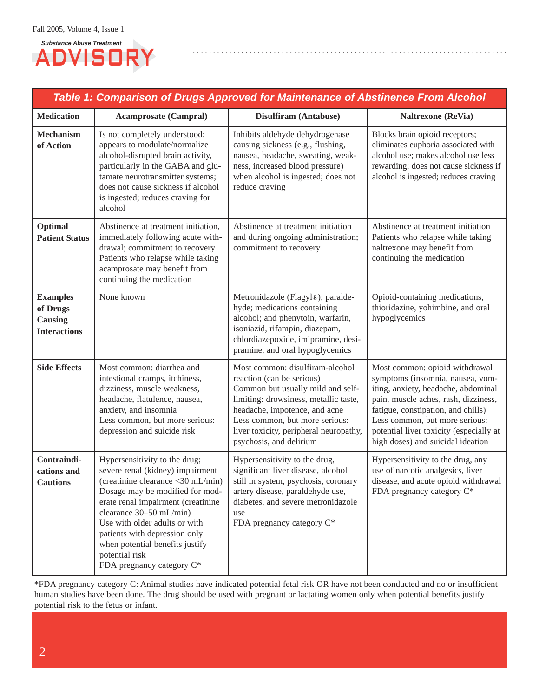

| Table 1: Comparison of Drugs Approved for Maintenance of Abstinence From Alcohol |                                                                                                                                                                                                                                                                                                                                                                |                                                                                                                                                                                                                                                                                    |                                                                                                                                                                                                                                                                                                           |
|----------------------------------------------------------------------------------|----------------------------------------------------------------------------------------------------------------------------------------------------------------------------------------------------------------------------------------------------------------------------------------------------------------------------------------------------------------|------------------------------------------------------------------------------------------------------------------------------------------------------------------------------------------------------------------------------------------------------------------------------------|-----------------------------------------------------------------------------------------------------------------------------------------------------------------------------------------------------------------------------------------------------------------------------------------------------------|
| <b>Medication</b>                                                                | <b>Acamprosate (Campral)</b>                                                                                                                                                                                                                                                                                                                                   | Disulfiram (Antabuse)                                                                                                                                                                                                                                                              | <b>Naltrexone</b> (ReVia)                                                                                                                                                                                                                                                                                 |
| <b>Mechanism</b><br>of Action                                                    | Is not completely understood;<br>appears to modulate/normalize<br>alcohol-disrupted brain activity,<br>particularly in the GABA and glu-<br>tamate neurotransmitter systems;<br>does not cause sickness if alcohol<br>is ingested; reduces craving for<br>alcohol                                                                                              | Inhibits aldehyde dehydrogenase<br>causing sickness (e.g., flushing,<br>nausea, headache, sweating, weak-<br>ness, increased blood pressure)<br>when alcohol is ingested; does not<br>reduce craving                                                                               | Blocks brain opioid receptors;<br>eliminates euphoria associated with<br>alcohol use; makes alcohol use less<br>rewarding; does not cause sickness if<br>alcohol is ingested; reduces craving                                                                                                             |
| Optimal<br><b>Patient Status</b>                                                 | Abstinence at treatment initiation,<br>immediately following acute with-<br>drawal; commitment to recovery<br>Patients who relapse while taking<br>acamprosate may benefit from<br>continuing the medication                                                                                                                                                   | Abstinence at treatment initiation<br>and during ongoing administration;<br>commitment to recovery                                                                                                                                                                                 | Abstinence at treatment initiation<br>Patients who relapse while taking<br>naltrexone may benefit from<br>continuing the medication                                                                                                                                                                       |
| <b>Examples</b><br>of Drugs<br>Causing<br><b>Interactions</b>                    | None known                                                                                                                                                                                                                                                                                                                                                     | Metronidazole (Flagyl®); paralde-<br>hyde; medications containing<br>alcohol; and phenytoin, warfarin,<br>isoniazid, rifampin, diazepam,<br>chlordiazepoxide, imipramine, desi-<br>pramine, and oral hypoglycemics                                                                 | Opioid-containing medications,<br>thioridazine, yohimbine, and oral<br>hypoglycemics                                                                                                                                                                                                                      |
| <b>Side Effects</b>                                                              | Most common: diarrhea and<br>intestional cramps, itchiness,<br>dizziness, muscle weakness,<br>headache, flatulence, nausea,<br>anxiety, and insomnia<br>Less common, but more serious:<br>depression and suicide risk                                                                                                                                          | Most common: disulfiram-alcohol<br>reaction (can be serious)<br>Common but usually mild and self-<br>limiting: drowsiness, metallic taste,<br>headache, impotence, and acne<br>Less common, but more serious:<br>liver toxicity, peripheral neuropathy,<br>psychosis, and delirium | Most common: opioid withdrawal<br>symptoms (insomnia, nausea, vom-<br>iting, anxiety, headache, abdominal<br>pain, muscle aches, rash, dizziness,<br>fatigue, constipation, and chills)<br>Less common, but more serious:<br>potential liver toxicity (especially at<br>high doses) and suicidal ideation |
| Contraindi-<br>cations and<br><b>Cautions</b>                                    | Hypersensitivity to the drug;<br>severe renal (kidney) impairment<br>(creatinine clearance <30 mL/min)<br>Dosage may be modified for mod-<br>erate renal impairment (creatinine<br>clearance 30-50 mL/min)<br>Use with older adults or with<br>patients with depression only<br>when potential benefits justify<br>potential risk<br>FDA pregnancy category C* | Hypersensitivity to the drug,<br>significant liver disease, alcohol<br>still in system, psychosis, coronary<br>artery disease, paraldehyde use,<br>diabetes, and severe metronidazole<br>use<br>FDA pregnancy category C*                                                          | Hypersensitivity to the drug, any<br>use of narcotic analgesics, liver<br>disease, and acute opioid withdrawal<br>FDA pregnancy category C*                                                                                                                                                               |

\*FDA pregnancy category C: Animal studies have indicated potential fetal risk OR have not been conducted and no or insufficient human studies have been done. The drug should be used with pregnant or lactating women only when potential benefits justify potential risk to the fetus or infant.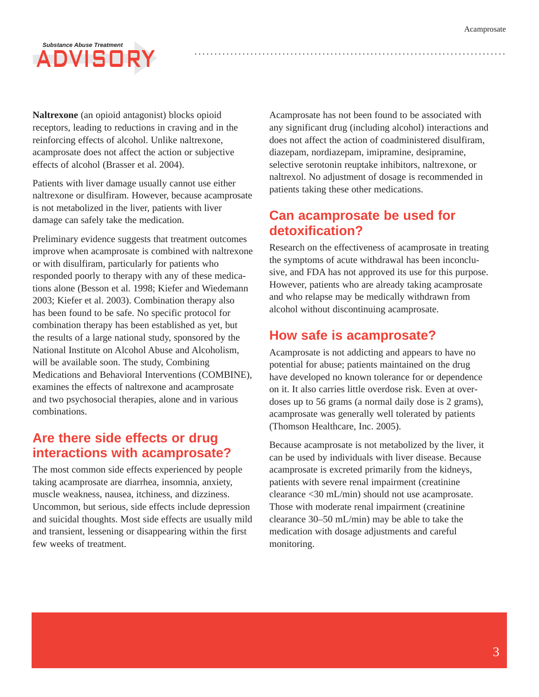## *Substance Abuse Treatment* **ADVISOR**

**Naltrexone** (an opioid antagonist) blocks opioid receptors, leading to reductions in craving and in the reinforcing effects of alcohol. Unlike naltrexone, acamprosate does not affect the action or subjective effects of alcohol (Brasser et al. 2004).

Patients with liver damage usually cannot use either naltrexone or disulfiram. However, because acamprosate is not metabolized in the liver, patients with liver damage can safely take the medication.

Preliminary evidence suggests that treatment outcomes improve when acamprosate is combined with naltrexone or with disulfiram, particularly for patients who responded poorly to therapy with any of these medications alone (Besson et al. 1998; Kiefer and Wiedemann 2003; Kiefer et al. 2003). Combination therapy also has been found to be safe. No specific protocol for combination therapy has been established as yet, but the results of a large national study, sponsored by the National Institute on Alcohol Abuse and Alcoholism, will be available soon. The study, Combining Medications and Behavioral Interventions (COMBINE), examines the effects of naltrexone and acamprosate and two psychosocial therapies, alone and in various combinations.

#### **Are there side effects or drug interactions with acamprosate?**

The most common side effects experienced by people taking acamprosate are diarrhea, insomnia, anxiety, muscle weakness, nausea, itchiness, and dizziness. Uncommon, but serious, side effects include depression and suicidal thoughts. Most side effects are usually mild and transient, lessening or disappearing within the first few weeks of treatment.

Acamprosate has not been found to be associated with any significant drug (including alcohol) interactions and does not affect the action of coadministered disulfiram, diazepam, nordiazepam, imipramine, desipramine, selective serotonin reuptake inhibitors, naltrexone, or naltrexol. No adjustment of dosage is recommended in patients taking these other medications.

#### **Can acamprosate be used for detoxification?**

Research on the effectiveness of acamprosate in treating the symptoms of acute withdrawal has been inconclusive, and FDA has not approved its use for this purpose. However, patients who are already taking acamprosate and who relapse may be medically withdrawn from alcohol without discontinuing acamprosate.

#### **How safe is acamprosate?**

Acamprosate is not addicting and appears to have no potential for abuse; patients maintained on the drug have developed no known tolerance for or dependence on it. It also carries little overdose risk. Even at overdoses up to 56 grams (a normal daily dose is 2 grams), acamprosate was generally well tolerated by patients (Thomson Healthcare, Inc. 2005).

Because acamprosate is not metabolized by the liver, it can be used by individuals with liver disease. Because acamprosate is excreted primarily from the kidneys, patients with severe renal impairment (creatinine clearance <30 mL/min) should not use acamprosate. Those with moderate renal impairment (creatinine clearance 30–50 mL/min) may be able to take the medication with dosage adjustments and careful monitoring.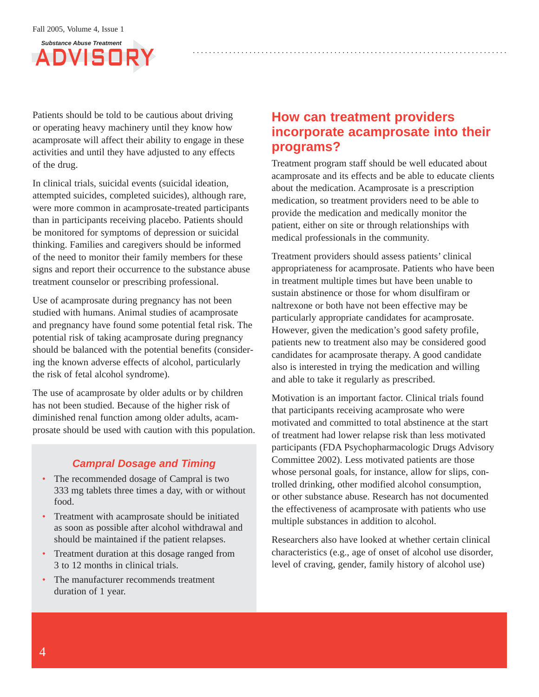

Patients should be told to be cautious about driving or operating heavy machinery until they know how acamprosate will affect their ability to engage in these activities and until they have adjusted to any effects of the drug.

In clinical trials, suicidal events (suicidal ideation, attempted suicides, completed suicides), although rare, were more common in acamprosate-treated participants than in participants receiving placebo. Patients should be monitored for symptoms of depression or suicidal thinking. Families and caregivers should be informed of the need to monitor their family members for these signs and report their occurrence to the substance abuse treatment counselor or prescribing professional.

Use of acamprosate during pregnancy has not been studied with humans. Animal studies of acamprosate and pregnancy have found some potential fetal risk. The potential risk of taking acamprosate during pregnancy should be balanced with the potential benefits (considering the known adverse effects of alcohol, particularly the risk of fetal alcohol syndrome).

The use of acamprosate by older adults or by children has not been studied. Because of the higher risk of diminished renal function among older adults, acamprosate should be used with caution with this population.

#### *Campral Dosage and Timing*

- The recommended dosage of Campral is two 333 mg tablets three times a day, with or without food.
- Treatment with acamprosate should be initiated as soon as possible after alcohol withdrawal and should be maintained if the patient relapses.
- Treatment duration at this dosage ranged from 3 to 12 months in clinical trials.
- The manufacturer recommends treatment duration of 1 year.

#### **How can treatment providers incorporate acamprosate into their programs?**

Treatment program staff should be well educated about acamprosate and its effects and be able to educate clients about the medication. Acamprosate is a prescription medication, so treatment providers need to be able to provide the medication and medically monitor the patient, either on site or through relationships with medical professionals in the community.

Treatment providers should assess patients' clinical appropriateness for acamprosate. Patients who have been in treatment multiple times but have been unable to sustain abstinence or those for whom disulfiram or naltrexone or both have not been effective may be particularly appropriate candidates for acamprosate. However, given the medication's good safety profile, patients new to treatment also may be considered good candidates for acamprosate therapy. A good candidate also is interested in trying the medication and willing and able to take it regularly as prescribed.

Motivation is an important factor. Clinical trials found that participants receiving acamprosate who were motivated and committed to total abstinence at the start of treatment had lower relapse risk than less motivated participants (FDA Psychopharmacologic Drugs Advisory Committee 2002). Less motivated patients are those whose personal goals, for instance, allow for slips, controlled drinking, other modified alcohol consumption, or other substance abuse. Research has not documented the effectiveness of acamprosate with patients who use multiple substances in addition to alcohol.

Researchers also have looked at whether certain clinical characteristics (e.g., age of onset of alcohol use disorder, level of craving, gender, family history of alcohol use)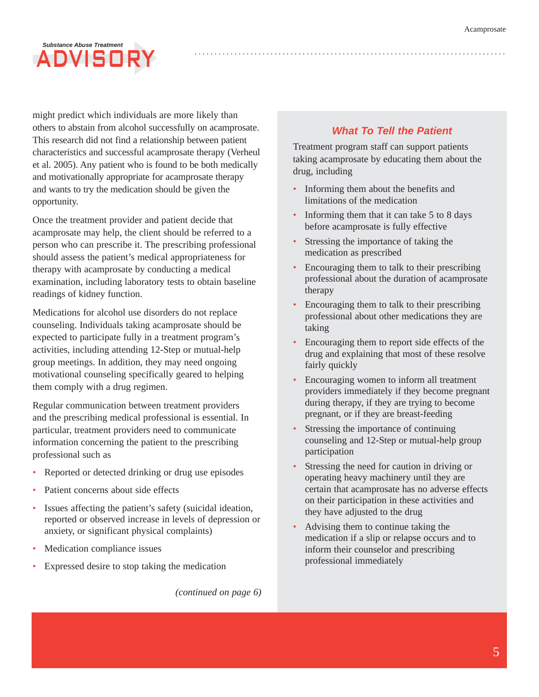## *Substance Abuse Treatment*  ADVISOR

might predict which individuals are more likely than others to abstain from alcohol successfully on acamprosate. This research did not find a relationship between patient characteristics and successful acamprosate therapy (Verheul et al. 2005). Any patient who is found to be both medically and motivationally appropriate for acamprosate therapy and wants to try the medication should be given the opportunity.

Once the treatment provider and patient decide that acamprosate may help, the client should be referred to a person who can prescribe it. The prescribing professional should assess the patient's medical appropriateness for therapy with acamprosate by conducting a medical examination, including laboratory tests to obtain baseline readings of kidney function.

Medications for alcohol use disorders do not replace counseling. Individuals taking acamprosate should be expected to participate fully in a treatment program's activities, including attending 12-Step or mutual-help group meetings. In addition, they may need ongoing motivational counseling specifically geared to helping them comply with a drug regimen.

Regular communication between treatment providers and the prescribing medical professional is essential. In particular, treatment providers need to communicate information concerning the patient to the prescribing professional such as

- Reported or detected drinking or drug use episodes
- Patient concerns about side effects
- Issues affecting the patient's safety (suicidal ideation, reported or observed increase in levels of depression or anxiety, or significant physical complaints)
- Medication compliance issues
- Expressed desire to stop taking the medication

*(continued on page 6)* 

#### *What To Tell the Patient*

Treatment program staff can support patients taking acamprosate by educating them about the drug, including

- Informing them about the benefits and limitations of the medication
- Informing them that it can take 5 to 8 days before acamprosate is fully effective
- Stressing the importance of taking the medication as prescribed
- Encouraging them to talk to their prescribing professional about the duration of acamprosate therapy
- Encouraging them to talk to their prescribing professional about other medications they are taking
- Encouraging them to report side effects of the drug and explaining that most of these resolve fairly quickly
- Encouraging women to inform all treatment providers immediately if they become pregnant during therapy, if they are trying to become pregnant, or if they are breast-feeding
- Stressing the importance of continuing counseling and 12-Step or mutual-help group participation
- Stressing the need for caution in driving or operating heavy machinery until they are certain that acamprosate has no adverse effects on their participation in these activities and they have adjusted to the drug
- Advising them to continue taking the medication if a slip or relapse occurs and to inform their counselor and prescribing professional immediately

5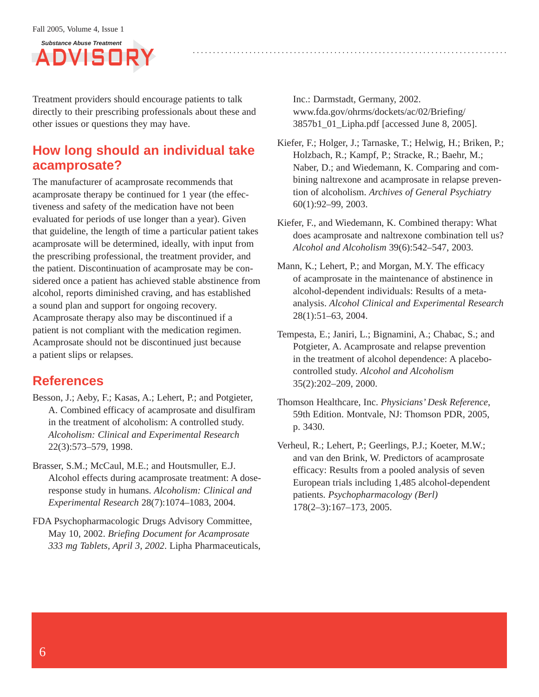

Treatment providers should encourage patients to talk directly to their prescribing professionals about these and other issues or questions they may have.

#### **How long should an individual take acamprosate?**

The manufacturer of acamprosate recommends that acamprosate therapy be continued for 1 year (the effectiveness and safety of the medication have not been evaluated for periods of use longer than a year). Given that guideline, the length of time a particular patient takes acamprosate will be determined, ideally, with input from the prescribing professional, the treatment provider, and the patient. Discontinuation of acamprosate may be considered once a patient has achieved stable abstinence from alcohol, reports diminished craving, and has established a sound plan and support for ongoing recovery. Acamprosate therapy also may be discontinued if a patient is not compliant with the medication regimen. Acamprosate should not be discontinued just because a patient slips or relapses.

#### **References**

- Besson, J.; Aeby, F.; Kasas, A.; Lehert, P.; and Potgieter, A. Combined efficacy of acamprosate and disulfiram in the treatment of alcoholism: A controlled study. *Alcoholism: Clinical and Experimental Research*  22(3):573–579, 1998.
- Brasser, S.M.; McCaul, M.E.; and Houtsmuller, E.J. Alcohol effects during acamprosate treatment: A doseresponse study in humans. *Alcoholism: Clinical and Experimental Research* 28(7):1074–1083, 2004.
- FDA Psychopharmacologic Drugs Advisory Committee, May 10, 2002. *Briefing Document for Acamprosate 333 mg Tablets, April 3, 2002*. Lipha Pharmaceuticals,

Inc.: Darmstadt, Germany, 2002. [www.fda.gov/ohrms/dockets/ac/02/Briefing/](http://www.fda.gov/ohrms/dockets/ac/02/Briefing/)  3857b1\_01\_Lipha.pdf [accessed June 8, 2005].

- Kiefer, F.; Holger, J.; Tarnaske, T.; Helwig, H.; Briken, P.; Holzbach, R.; Kampf, P.; Stracke, R.; Baehr, M.; Naber, D.; and Wiedemann, K. Comparing and combining naltrexone and acamprosate in relapse prevention of alcoholism. *Archives of General Psychiatry*  60(1):92–99, 2003.
- Kiefer, F., and Wiedemann, K. Combined therapy: What does acamprosate and naltrexone combination tell us? *Alcohol and Alcoholism* 39(6):542–547, 2003.
- Mann, K.; Lehert, P.; and Morgan, M.Y. The efficacy of acamprosate in the maintenance of abstinence in alcohol-dependent individuals: Results of a metaanalysis. *Alcohol Clinical and Experimental Research*  28(1):51–63, 2004.
- Tempesta, E.; Janiri, L.; Bignamini, A.; Chabac, S.; and Potgieter, A. Acamprosate and relapse prevention in the treatment of alcohol dependence: A placebocontrolled study. *Alcohol and Alcoholism*  35(2):202–209, 2000.
- Thomson Healthcare, Inc. *Physicians' Desk Reference*, 59th Edition. Montvale, NJ: Thomson PDR, 2005, p. 3430.
- Verheul, R.; Lehert, P.; Geerlings, P.J.; Koeter, M.W.; and van den Brink, W. Predictors of acamprosate efficacy: Results from a pooled analysis of seven European trials including 1,485 alcohol-dependent patients. *Psychopharmacology (Berl)*  178(2–3):167–173, 2005.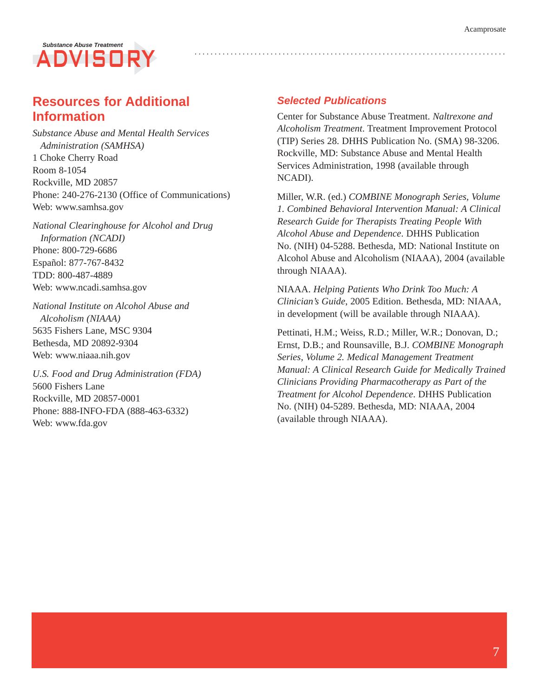## *Substance Abuse Treatment*  ADVISO

#### **Resources for Additional Information**

*Substance Abuse and Mental Health Services Administration (SAMHSA)*  1 Choke Cherry Road Room 8-1054 Rockville, MD 20857 Phone: 240-276-2130 (Office of Communications) Web: [www.samhsa.gov](http://www.samhsa.gov) 

*National Clearinghouse for Alcohol and Drug Information (NCADI)*  Phone: 800-729-6686 Español: 877-767-8432 TDD: 800-487-4889 Web: [www.ncadi.samhsa.gov](http://www.ncadi.samhsa.gov) 

*National Institute on Alcohol Abuse and Alcoholism (NIAAA)*  5635 Fishers Lane, MSC 9304 Bethesda, MD 20892-9304 Web: [www.niaaa.nih.gov](http://www.niaaa.nih.gov) 

*U.S. Food and Drug Administration (FDA)*  5600 Fishers Lane Rockville, MD 20857-0001 Phone: 888-INFO-FDA (888-463-6332) Web: [www.fda.gov](http://www.fda.gov) 

#### *Selected Publications*

Center for Substance Abuse Treatment. *Naltrexone and Alcoholism Treatment*. Treatment Improvement Protocol (TIP) Series 28. DHHS Publication No. (SMA) 98-3206. Rockville, MD: Substance Abuse and Mental Health Services Administration, 1998 (available through NCADI).

Miller, W.R. (ed.) *COMBINE Monograph Series, Volume 1. Combined Behavioral Intervention Manual: A Clinical Research Guide for Therapists Treating People With Alcohol Abuse and Dependence*. DHHS Publication No. (NIH) 04-5288. Bethesda, MD: National Institute on Alcohol Abuse and Alcoholism (NIAAA), 2004 (available through NIAAA).

NIAAA. *Helping Patients Who Drink Too Much: A Clinician's Guide*, 2005 Edition. Bethesda, MD: NIAAA, in development (will be available through NIAAA).

Pettinati, H.M.; Weiss, R.D.; Miller, W.R.; Donovan, D.; Ernst, D.B.; and Rounsaville, B.J. *COMBINE Monograph Series, Volume 2. Medical Management Treatment Manual: A Clinical Research Guide for Medically Trained Clinicians Providing Pharmacotherapy as Part of the Treatment for Alcohol Dependence*. DHHS Publication No. (NIH) 04-5289. Bethesda, MD: NIAAA, 2004 (available through NIAAA).